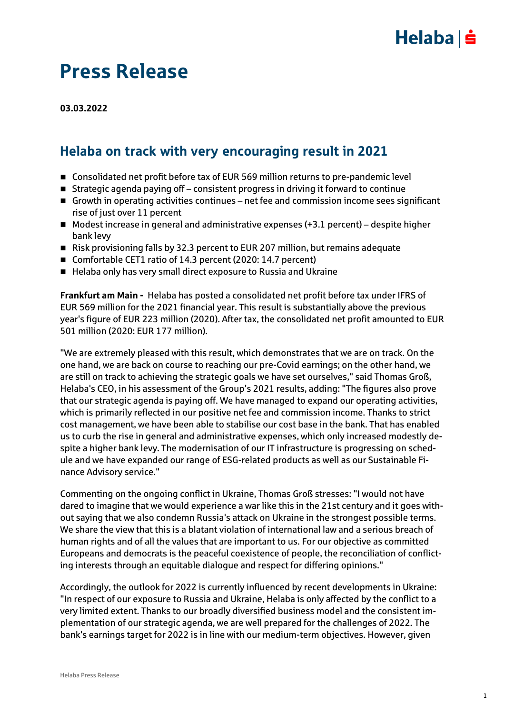## $Helaba| \dot{=}$

## Press Release

**03.03.2022**

### Helaba on track with very encouraging result in 2021

- Consolidated net profit before tax of EUR 569 million returns to pre-pandemic level
- Strategic agenda paying off consistent progress in driving it forward to continue
- Growth in operating activities continues net fee and commission income sees significant rise of just over 11 percent
- $\blacksquare$  Modest increase in general and administrative expenses (+3.1 percent) despite higher bank levy
- Risk provisioning falls by 32.3 percent to EUR 207 million, but remains adequate
- Comfortable CET1 ratio of 14.3 percent (2020: 14.7 percent)
- Helaba only has very small direct exposure to Russia and Ukraine

**Frankfurt am Main -** Helaba has posted a consolidated net profit before tax under IFRS of EUR 569 million for the 2021 financial year. This result is substantially above the previous year's figure of EUR 223 million (2020). After tax, the consolidated net profit amounted to EUR 501 million (2020: EUR 177 million).

"We are extremely pleased with this result, which demonstrates that we are on track. On the one hand, we are back on course to reaching our pre-Covid earnings; on the other hand, we are still on track to achieving the strategic goals we have set ourselves," said Thomas Groß, Helaba's CEO, in his assessment of the Group's 2021 results, adding: "The figures also prove that our strategic agenda is paying off. We have managed to expand our operating activities, which is primarily reflected in our positive net fee and commission income. Thanks to strict cost management, we have been able to stabilise our cost base in the bank. That has enabled us to curb the rise in general and administrative expenses, which only increased modestly despite a higher bank levy. The modernisation of our IT infrastructure is progressing on schedule and we have expanded our range of ESG-related products as well as our Sustainable Finance Advisory service."

Commenting on the ongoing conflict in Ukraine, Thomas Groß stresses: "I would not have dared to imagine that we would experience a war like this in the 21st century and it goes without saying that we also condemn Russia's attack on Ukraine in the strongest possible terms. We share the view that this is a blatant violation of international law and a serious breach of human rights and of all the values that are important to us. For our objective as committed Europeans and democrats is the peaceful coexistence of people, the reconciliation of conflicting interests through an equitable dialogue and respect for differing opinions."

Accordingly, the outlook for 2022 is currently influenced by recent developments in Ukraine: "In respect of our exposure to Russia and Ukraine, Helaba is only affected by the conflict to a very limited extent. Thanks to our broadly diversified business model and the consistent implementation of our strategic agenda, we are well prepared for the challenges of 2022. The bank's earnings target for 2022 is in line with our medium-term objectives. However, given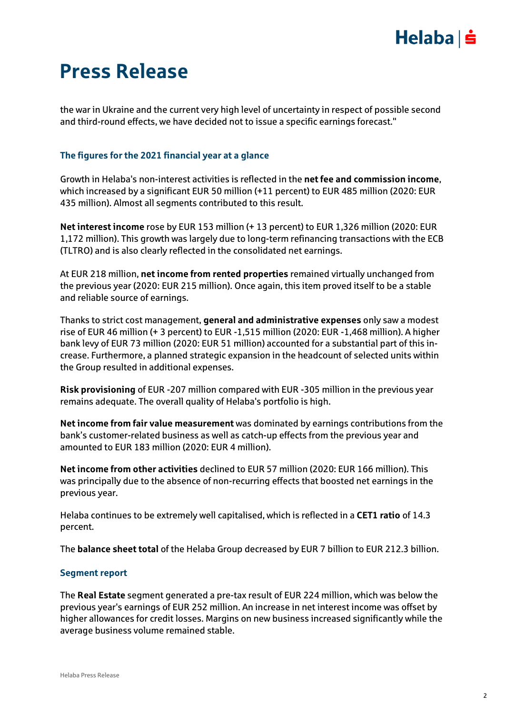## $Helaba| \dot{=}$

# Press Release

the war in Ukraine and the current very high level of uncertainty in respect of possible second and third-round effects, we have decided not to issue a specific earnings forecast."

### **The figures for the 2021 financial year at a glance**

Growth in Helaba's non-interest activities is reflected in the **net fee and commission income**, which increased by a significant EUR 50 million (+11 percent) to EUR 485 million (2020: EUR 435 million). Almost all segments contributed to this result.

**Net interest income** rose by EUR 153 million (+ 13 percent) to EUR 1,326 million (2020: EUR 1,172 million). This growth was largely due to long-term refinancing transactions with the ECB (TLTRO) and is also clearly reflected in the consolidated net earnings.

At EUR 218 million, **net income from rented properties** remained virtually unchanged from the previous year (2020: EUR 215 million). Once again, this item proved itself to be a stable and reliable source of earnings.

Thanks to strict cost management, **general and administrative expenses** only saw a modest rise of EUR 46 million (+ 3 percent) to EUR -1,515 million (2020: EUR -1,468 million). A higher bank levy of EUR 73 million (2020: EUR 51 million) accounted for a substantial part of this increase. Furthermore, a planned strategic expansion in the headcount of selected units within the Group resulted in additional expenses.

**Risk provisioning** of EUR -207 million compared with EUR -305 million in the previous year remains adequate. The overall quality of Helaba's portfolio is high.

**Net income from fair value measurement** was dominated by earnings contributions from the bank's customer-related business as well as catch-up effects from the previous year and amounted to EUR 183 million (2020: EUR 4 million).

**Net income from other activities** declined to EUR 57 million (2020: EUR 166 million). This was principally due to the absence of non-recurring effects that boosted net earnings in the previous year.

Helaba continues to be extremely well capitalised, which is reflected in a **CET1 ratio** of 14.3 percent.

The **balance sheet total** of the Helaba Group decreased by EUR 7 billion to EUR 212.3 billion.

### **Segment report**

The **Real Estate** segment generated a pre-tax result of EUR 224 million, which was below the previous year's earnings of EUR 252 million. An increase in net interest income was offset by higher allowances for credit losses. Margins on new business increased significantly while the average business volume remained stable.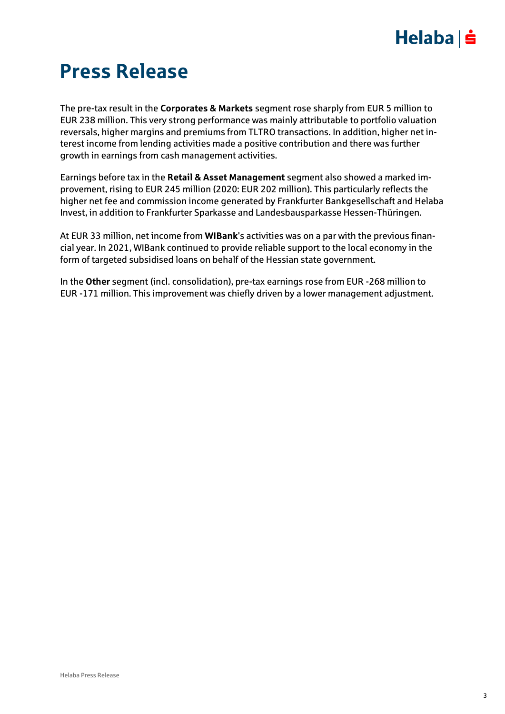## $Helaba \succeq$

# Press Release

The pre-tax result in the **Corporates & Markets** segment rose sharply from EUR 5 million to EUR 238 million. This very strong performance was mainly attributable to portfolio valuation reversals, higher margins and premiums from TLTRO transactions. In addition, higher net interest income from lending activities made a positive contribution and there was further growth in earnings from cash management activities.

Earnings before tax in the **Retail & Asset Management** segment also showed a marked improvement, rising to EUR 245 million (2020: EUR 202 million). This particularly reflects the higher net fee and commission income generated by Frankfurter Bankgesellschaft and Helaba Invest, in addition to Frankfurter Sparkasse and Landesbausparkasse Hessen-Thüringen.

At EUR 33 million, net income from **WIBank**'s activities was on a par with the previous financial year. In 2021, WIBank continued to provide reliable support to the local economy in the form of targeted subsidised loans on behalf of the Hessian state government.

In the **Other** segment (incl. consolidation), pre-tax earnings rose from EUR -268 million to EUR -171 million. This improvement was chiefly driven by a lower management adjustment.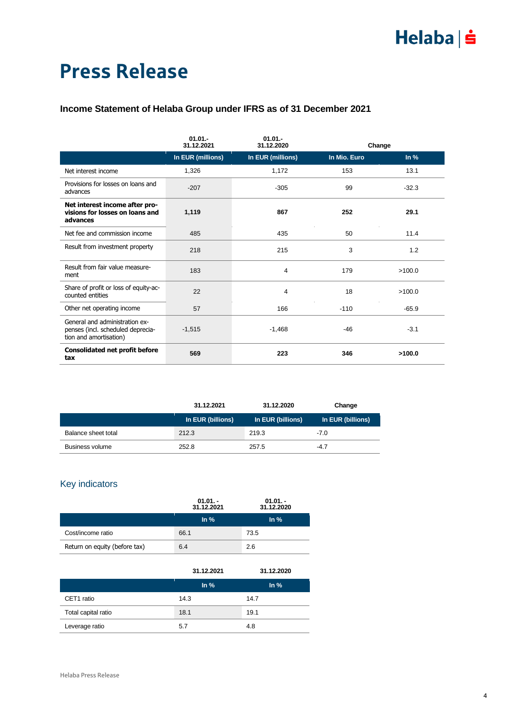# Press Release

### **Income Statement of Helaba Group under IFRS as of 31 December 2021**

|                                                                                               | $01.01 -$<br>31.12.2021 | $01.01 -$<br>31.12.2020 | Change       |          |  |
|-----------------------------------------------------------------------------------------------|-------------------------|-------------------------|--------------|----------|--|
|                                                                                               | In EUR (millions)       | In EUR (millions)       | In Mio. Euro | $\ln \%$ |  |
| Net interest income                                                                           | 1,326                   | 1,172                   | 153          | 13.1     |  |
| Provisions for losses on loans and<br>advances                                                | $-207$                  | $-305$                  | 99           | $-32.3$  |  |
| Net interest income after pro-<br>visions for losses on loans and<br>advances                 | 1,119                   | 867                     | 252          | 29.1     |  |
| Net fee and commission income                                                                 | 485                     | 435                     | 50           | 11.4     |  |
| Result from investment property                                                               | 218                     | 215                     | 3            | 1.2      |  |
| Result from fair value measure-<br>ment                                                       | 183                     | 4                       | 179          | >100.0   |  |
| Share of profit or loss of equity-ac-<br>counted entities                                     | 22                      | 4                       | 18           | >100.0   |  |
| Other net operating income                                                                    | 57                      | 166                     | $-110$       | $-65.9$  |  |
| General and administration ex-<br>penses (incl. scheduled deprecia-<br>tion and amortisation) | $-1,515$                | $-1,468$                | $-46$        | $-3.1$   |  |
| <b>Consolidated net profit before</b><br>tax                                                  | 569                     | 223                     | 346          | >100.0   |  |

|                     | 31.12.2021        | 31.12.2020        | Change            |
|---------------------|-------------------|-------------------|-------------------|
|                     | In EUR (billions) | In EUR (billions) | In EUR (billions) |
| Balance sheet total | 212.3             | 219.3             | $-7.0$            |
| Business volume     | 252.8             | 257.5             | $-4.7$            |

### Key indicators

|                               | $01.01 -$<br>31.12.2021 | $01.01 -$<br>31.12.2020 |  |
|-------------------------------|-------------------------|-------------------------|--|
|                               | $\ln \frac{9}{6}$       | $\ln \frac{9}{6}$       |  |
| Cost/income ratio             | 66.1                    | 73.5                    |  |
| Return on equity (before tax) | 6.4                     | 2.6                     |  |

|                     | 31.12.2021        | 31.12.2020        |
|---------------------|-------------------|-------------------|
|                     | $\ln \frac{9}{6}$ | $\ln \frac{9}{6}$ |
| CET1 ratio          | 14.3              | 14.7              |
| Total capital ratio | 18.1              | 19.1              |
| Leverage ratio      | 5.7               | 4.8               |